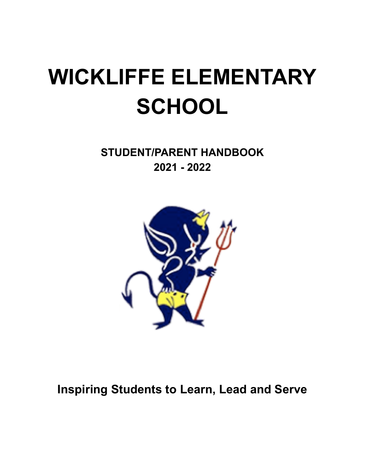# **WICKLIFFE ELEMENTARY SCHOOL**

**STUDENT/PARENT HANDBOOK 2021 - 2022**



**Inspiring Students to Learn, Lead and Serve**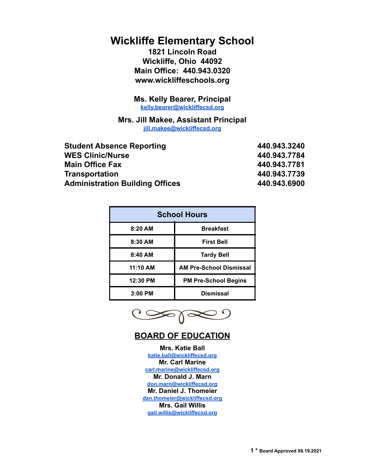# **Wickliffe Elementary School**

**1821 Lincoln Road Wickliffe, Ohio 44092 Main Office: 440.943.0320 www.wickliffeschools.org**

**Ms. Kelly Bearer, Principal [kelly.bearer@wickliffecsd.org](mailto:kelly.bearer@wickliffeschools.org)**

**Mrs. Jill Makee, Assistant Principal [jill.makee@wickliffecsd.org](mailto:jill.makee@wickliffeschools.org)**

| <b>Student Absence Reporting</b>       | 440.943.3240 |
|----------------------------------------|--------------|
| <b>WES Clinic/Nurse</b>                | 440.943.7784 |
| <b>Main Office Fax</b>                 | 440.943.7781 |
| <b>Transportation</b>                  | 440.943.7739 |
| <b>Administration Building Offices</b> | 440.943.6900 |

| <b>School Hours</b> |                                |  |
|---------------------|--------------------------------|--|
| 8:20 AM             | <b>Breakfast</b>               |  |
| 8:30 AM             | <b>First Bell</b>              |  |
| 8:40 AM             | <b>Tardy Bell</b>              |  |
| 11:10 AM            | <b>AM Pre-School Dismissal</b> |  |
| 12:30 PM            | <b>PM Pre-School Begins</b>    |  |
| $3:00$ PM           | <b>Dismissal</b>               |  |

➣≬≪

# **BOARD OF EDUCATION**

**Mrs. Katie Ball [katie.ball@wickliffecsd.org](mailto:katie.ball@wickliffeschools.org) Mr. Carl Marine [carl.marine@wickliffecsd.org](mailto:carl.marine@wickliffeschools.org) Mr. Donald J. Marn [don.marn@wickliffecsd.org](mailto:don.marn@wickliffeschools.org) Mr. Daniel J. Thomeier [dan.thomeier@wickliffecsd.org](mailto:dan.thomeier@wickliffeschools.org) Mrs. Gail Willis [gail.willis@wickliffecsd.org](mailto:gail.willis@wickliffeschools.org)**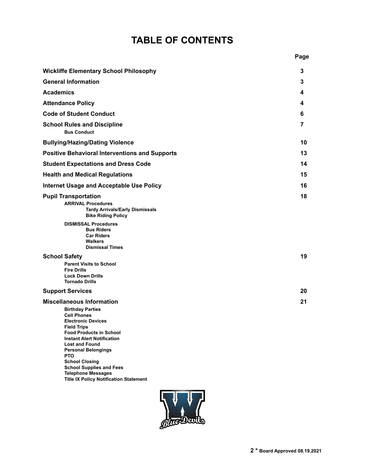# **TABLE OF CONTENTS**

|                                                                                                                                                                                                                                                                                                                                              | Page |
|----------------------------------------------------------------------------------------------------------------------------------------------------------------------------------------------------------------------------------------------------------------------------------------------------------------------------------------------|------|
| <b>Wickliffe Elementary School Philosophy</b>                                                                                                                                                                                                                                                                                                | 3    |
| <b>General Information</b>                                                                                                                                                                                                                                                                                                                   | 3    |
| <b>Academics</b>                                                                                                                                                                                                                                                                                                                             | 4    |
| <b>Attendance Policy</b>                                                                                                                                                                                                                                                                                                                     | 4    |
| <b>Code of Student Conduct</b>                                                                                                                                                                                                                                                                                                               | 6    |
| <b>School Rules and Discipline</b><br><b>Bus Conduct</b>                                                                                                                                                                                                                                                                                     | 7    |
| <b>Bullying/Hazing/Dating Violence</b>                                                                                                                                                                                                                                                                                                       | 10   |
| <b>Positive Behavioral Interventions and Supports</b>                                                                                                                                                                                                                                                                                        | 13   |
| <b>Student Expectations and Dress Code</b>                                                                                                                                                                                                                                                                                                   | 14   |
| <b>Health and Medical Regulations</b>                                                                                                                                                                                                                                                                                                        | 15   |
| <b>Internet Usage and Acceptable Use Policy</b>                                                                                                                                                                                                                                                                                              | 16   |
| <b>Pupil Transportation</b><br><b>ARRIVAL Procedures</b><br><b>Tardy Arrivals/Early Dismissals</b><br><b>Bike Riding Policy</b>                                                                                                                                                                                                              | 18   |
| <b>DISMISSAL Procedures</b><br><b>Bus Riders</b><br><b>Car Riders</b><br><b>Walkers</b><br><b>Dismissal Times</b>                                                                                                                                                                                                                            |      |
| <b>School Safety</b><br><b>Parent Visits to School</b><br><b>Fire Drills</b><br><b>Lock Down Drills</b><br><b>Tornado Drills</b>                                                                                                                                                                                                             | 19   |
| <b>Support Services</b>                                                                                                                                                                                                                                                                                                                      | 20   |
| <b>Miscellaneous Information</b><br><b>Birthday Parties</b><br><b>Cell Phones</b><br><b>Electronic Devices</b><br><b>Field Trips</b><br><b>Food Products in School</b><br><b>Instant Alert Notification</b><br><b>Lost and Found</b><br><b>Personal Belongings</b><br><b>PTO</b><br><b>School Closing</b><br><b>School Supplies and Fees</b> | 21   |



**Telephone Messages**

**Title IX Policy Notification Statement**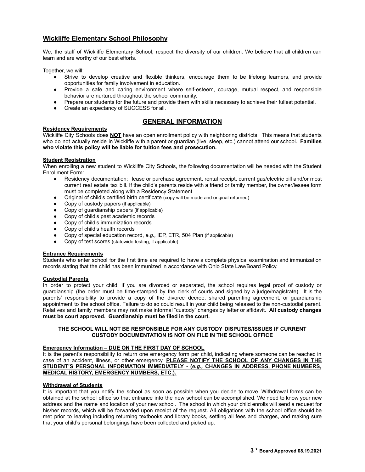# **Wickliffe Elementary School Philosophy**

We, the staff of Wickliffe Elementary School, respect the diversity of our children. We believe that all children can learn and are worthy of our best efforts.

Together, we will:

- Strive to develop creative and flexible thinkers, encourage them to be lifelong learners, and provide opportunities for family involvement in education.
- Provide a safe and caring environment where self-esteem, courage, mutual respect, and responsible behavior are nurtured throughout the school community.
- Prepare our students for the future and provide them with skills necessary to achieve their fullest potential.
- Create an expectancy of SUCCESS for all.

#### **Residency Requirements**

### **GENERAL INFORMATION**

Wickliffe City Schools does **NOT** have an open enrollment policy with neighboring districts. This means that students who do not actually reside in Wickliffe with a parent or guardian (live, sleep, etc.) cannot attend our school. **Families who violate this policy will be liable for tuition fees and prosecution.**

#### **Student Registration**

When enrolling a new student to Wickliffe City Schools, the following documentation will be needed with the Student Enrollment Form:

- Residency documentation: lease or purchase agreement, rental receipt, current gas/electric bill and/or most current real estate tax bill. If the child's parents reside with a friend or family member, the owner/lessee form must be completed along with a Residency Statement
- Original of child's certified birth certificate (copy will be made and original returned)
- Copy of custody papers (if applicable)
- Copy of guardianship papers (if applicable)
- Copy of child's past academic records
- Copy of child's immunization records
- Copy of child's health records
- Copy of special education record, *e.g.,* IEP, ETR, 504 Plan (if applicable)
- Copy of test scores (statewide testing, if applicable)

#### **Entrance Requirements**

Students who enter school for the first time are required to have a complete physical examination and immunization records stating that the child has been immunized in accordance with Ohio State Law/Board Policy.

#### **Custodial Parents**

In order to protect your child, if you are divorced or separated, the school requires legal proof of custody or guardianship (the order must be time-stamped by the clerk of courts and signed by a judge/magistrate). It is the parents' responsibility to provide a copy of the divorce decree, shared parenting agreement, or guardianship appointment to the school office. Failure to do so could result in your child being released to the non-custodial parent. Relatives and family members may not make informal "custody" changes by letter or affidavit. **All custody changes must be court approved. Guardianship must be filed in the court.**

#### **THE SCHOOL WILL NOT BE RESPONSIBLE FOR ANY CUSTODY DISPUTES/ISSUES IF CURRENT CUSTODY DOCUMENTATION IS NOT ON FILE IN THE SCHOOL OFFICE**

#### **Emergency Information – DUE ON THE FIRST DAY OF SCHOOL**

It is the parent's responsibility to return one emergency form per child, indicating where someone can be reached in case of an accident, illness, or other emergency. **PLEASE NOTIFY THE SCHOOL OF ANY CHANGES IN THE STUDENT'S PERSONAL INFORMATION IMMEDIATELY - (***e.g.,* **CHANGES IN ADDRESS, PHONE NUMBERS, MEDICAL HISTORY, EMERGENCY NUMBERS, ETC.).**

#### **Withdrawal of Students**

It is important that you notify the school as soon as possible when you decide to move. Withdrawal forms can be obtained at the school office so that entrance into the new school can be accomplished. We need to know your new address and the name and location of your new school. The school in which your child enrolls will send a request for his/her records, which will be forwarded upon receipt of the request. All obligations with the school office should be met prior to leaving including returning textbooks and library books, settling all fees and charges, and making sure that your child's personal belongings have been collected and picked up.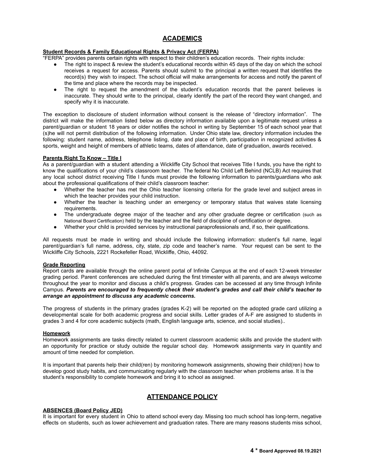## **ACADEMICS**

#### **Student Records & Family Educational Rights & Privacy Act (FERPA)**

"FERPA" provides parents certain rights with respect to their children's education records. Their rights include:

- The right to inspect & review the student's educational records within 45 days of the day on which the school receives a request for access. Parents should submit to the principal a written request that identifies the record(s) they wish to inspect. The school official will make arrangements for access and notify the parent of the time and place where the records may be inspected.
- The right to request the amendment of the student's education records that the parent believes is inaccurate. They should write to the principal, clearly identify the part of the record they want changed, and specify why it is inaccurate.

The exception to disclosure of student information without consent is the release of "directory information". The district will make the information listed below as directory information available upon a legitimate request unless a parent/guardian or student 18 years or older notifies the school in writing by September 15 of each school year that (s)he will not permit distribution of the following information. Under Ohio state law, directory information includes the following: student name, address, telephone listing, date and place of birth, participation in recognized activities & sports, weight and height of members of athletic teams, dates of attendance, date of graduation, awards received.

#### **Parents Right To Know – Title I**

As a parent/guardian with a student attending a Wickliffe City School that receives Title I funds, you have the right to know the qualifications of your child's classroom teacher. The federal No Child Left Behind (NCLB) Act requires that any local school district receiving Title I funds must provide the following information to parents/guardians who ask about the professional qualifications of their child's classroom teacher:

- Whether the teacher has met the Ohio teacher licensing criteria for the grade level and subject areas in which the teacher provides your child instruction.
- Whether the teacher is teaching under an emergency or temporary status that waives state licensing requirements.
- The undergraduate degree major of the teacher and any other graduate degree or certification (such as National Board Certification) held by the teacher and the field of discipline of certification or degree.
- Whether your child is provided services by instructional paraprofessionals and, if so, their qualifications.

All requests must be made in writing and should include the following information: student's full name, legal parent/guardian's full name, address, city, state, zip code and teacher's name. Your request can be sent to the Wickliffe City Schools, 2221 Rockefeller Road, Wickliffe, Ohio, 44092.

#### **Grade Reporting**

Report cards are available through the online parent portal of Infinite Campus at the end of each 12-week trimester grading period. Parent conferences are scheduled during the first trimester with all parents, and are always welcome throughout the year to monitor and discuss a child's progress. Grades can be accessed at any time through Infinite Campus. *Parents are encouraged to frequently check their student's grades and call their child's teacher to arrange an appointment to discuss any academic concerns.*

The progress of students in the primary grades (grades K-2) will be reported on the adopted grade card utilizing a developmental scale for both academic progress and social skills. Letter grades of A-F are assigned to students in grades 3 and 4 for core academic subjects (math, English language arts, science, and social studies)..

#### **Homework**

Homework assignments are tasks directly related to current classroom academic skills and provide the student with an opportunity for practice or study outside the regular school day. Homework assignments vary in quantity and amount of time needed for completion.

It is important that parents help their child(ren) by monitoring homework assignments, showing their child(ren) how to develop good study habits, and communicating regularly with the classroom teacher when problems arise. It is the student's responsibility to complete homework and bring it to school as assigned.

# **ATTENDANCE POLICY**

#### **ABSENCES (Board Policy JED)**

It is important for every student in Ohio to attend school every day. Missing too much school has long-term, negative effects on students, such as lower achievement and graduation rates. There are many reasons students miss school,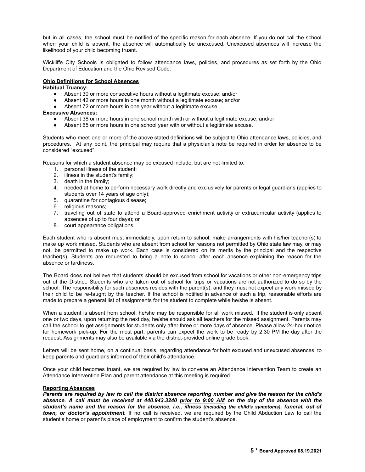but in all cases, the school must be notified of the specific reason for each absence. If you do not call the school when your child is absent, the absence will automatically be unexcused. Unexcused absences will increase the likelihood of your child becoming truant.

Wickliffe City Schools is obligated to follow attendance laws, policies, and procedures as set forth by the Ohio Department of Education and the Ohio Revised Code.

#### **Ohio Definitions for School Absences**

**Habitual Truancy:**

- Absent 30 or more consecutive hours without a legitimate excuse; and/or
- Absent 42 or more hours in one month without a legitimate excuse; and/or
- Absent 72 or more hours in one year without a legitimate excuse.

#### **Excessive Absences:**

- Absent 38 or more hours in one school month with or without a legitimate excuse; and/or
- Absent 65 or more hours in one school year with or without a legitimate excuse.

Students who meet one or more of the above stated definitions will be subject to Ohio attendance laws, policies, and procedures. At any point, the principal may require that a physician's note be required in order for absence to be considered "excused".

Reasons for which a student absence may be excused include, but are not limited to:

- 1. personal illness of the student;
- 2. illness in the student's family;
- 3. death in the family;
- 4. needed at home to perform necessary work directly and exclusively for parents or legal guardians (applies to students over 14 years of age only);
- 5. quarantine for contagious disease;
- 6. religious reasons;
- 7. traveling out of state to attend a Board-approved enrichment activity or extracurricular activity (applies to absences of up to four days); or
- 8. court appearance obligations.

Each student who is absent must immediately, upon return to school, make arrangements with his/her teacher(s) to make up work missed. Students who are absent from school for reasons not permitted by Ohio state law may, or may not, be permitted to make up work. Each case is considered on its merits by the principal and the respective teacher(s). Students are requested to bring a note to school after each absence explaining the reason for the absence or tardiness.

The Board does not believe that students should be excused from school for vacations or other non-emergency trips out of the District. Students who are taken out of school for trips or vacations are not authorized to do so by the school. The responsibility for such absences resides with the parent(s), and they must not expect any work missed by their child to be re-taught by the teacher. If the school is notified in advance of such a trip, reasonable efforts are made to prepare a general list of assignments for the student to complete while he/she is absent.

When a student is absent from school, he/she may be responsible for all work missed. If the student is only absent one or two days, upon returning the next day, he/she should ask all teachers for the missed assignment. Parents may call the school to get assignments for students only after three or more days of absence. Please allow 24-hour notice for homework pick-up. For the most part, parents can expect the work to be ready by 2:30 PM the day after the request. Assignments may also be available via the district-provided online grade book.

Letters will be sent home, on a continual basis, regarding attendance for both excused and unexcused absences, to keep parents and guardians informed of their child's attendance.

Once your child becomes truant, we are required by law to convene an Attendance Intervention Team to create an Attendance Intervention Plan and parent attendance at this meeting is required.

#### **Reporting Absences**

Parents are required by law to call the district absence reporting number and give the reason for the child's absence. A call must be received at 440.943.3240 prior to 9:00 AM on the day of the absence with the student's name and the reason for the absence, i.e., illness (including the child's symptoms), funeral, out of *town, or doctor's appointment.* If no call is received, we are required by the Child Abduction Law to call the student's home or parent's place of employment to confirm the student's absence.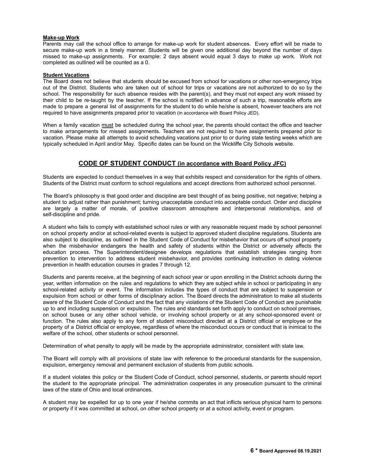#### **Make-up Work**

Parents may call the school office to arrange for make-up work for student absences. Every effort will be made to secure make-up work in a timely manner. Students will be given one additional day beyond the number of days missed to make-up assignments. For example: 2 days absent would equal 3 days to make up work. Work not completed as outlined will be counted as a 0.

#### **Student Vacations**

The Board does not believe that students should be excused from school for vacations or other non-emergency trips out of the District. Students who are taken out of school for trips or vacations are not authorized to do so by the school. The responsibility for such absence resides with the parent(s), and they must not expect any work missed by their child to be re-taught by the teacher. If the school is notified in advance of such a trip, reasonable efforts are made to prepare a general list of assignments for the student to do while he/she is absent, however teachers are not required to have assignments prepared prior to vacation (in accordance with Board Policy JED).

When a family vacation must be scheduled during the school year, the parents should contact the office and teacher to make arrangements for missed assignments. Teachers are not required to have assignments prepared prior to vacation. Please make all attempts to avoid scheduling vacations just prior to or during state testing weeks which are typically scheduled in April and/or May. Specific dates can be found on the Wickliffe City Schools website.

# **CODE OF STUDENT CONDUCT (in accordance with Board Policy JFC)**

Students are expected to conduct themselves in a way that exhibits respect and consideration for the rights of others. Students of the District must conform to school regulations and accept directions from authorized school personnel.

The Board's philosophy is that good order and discipline are best thought of as being positive, not negative; helping a student to adjust rather than punishment; turning unacceptable conduct into acceptable conduct. Order and discipline are largely a matter of morale, of positive classroom atmosphere and interpersonal relationships, and of self-discipline and pride.

A student who fails to comply with established school rules or with any reasonable request made by school personnel on school property and/or at school-related events is subject to approved student discipline regulations. Students are also subject to discipline, as outlined in the Student Code of Conduct for misbehavior that occurs off school property when the misbehavior endangers the health and safety of students within the District or adversely affects the education process. The Superintendent/designee develops regulations that establish strategies ranging from prevention to intervention to address student misbehavior, and provides continuing instruction in dating violence prevention in health education courses in grades 7 through 12.

Students and parents receive, at the beginning of each school year or upon enrolling in the District schools during the year, written information on the rules and regulations to which they are subject while in school or participating in any school-related activity or event. The information includes the types of conduct that are subject to suspension or expulsion from school or other forms of disciplinary action. The Board directs the administration to make all students aware of the Student Code of Conduct and the fact that any violations of the Student Code of Conduct are punishable up to and including suspension or expulsion. The rules and standards set forth apply to conduct on school premises, on school buses or any other school vehicle, or involving school property or at any school-sponsored event or function. The rules also apply to any form of student misconduct directed at a District official or employee or the property of a District official or employee, regardless of where the misconduct occurs or conduct that is inimical to the welfare of the school, other students or school personnel.

Determination of what penalty to apply will be made by the appropriate administrator, consistent with state law.

The Board will comply with all provisions of state law with reference to the procedural standards for the suspension, expulsion, emergency removal and permanent exclusion of students from public schools.

If a student violates this policy or the Student Code of Conduct, school personnel, students, or parents should report the student to the appropriate principal. The administration cooperates in any prosecution pursuant to the criminal laws of the state of Ohio and local ordinances.

A student may be expelled for up to one year if he/she commits an act that inflicts serious physical harm to persons or property if it was committed at school, on other school property or at a school activity, event or program.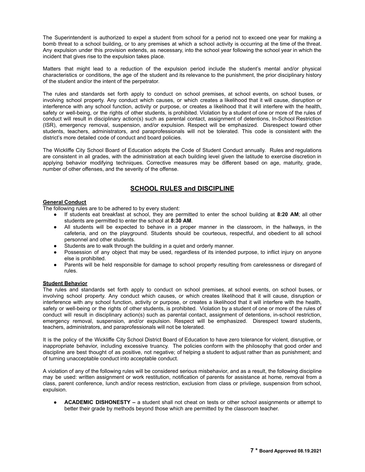The Superintendent is authorized to expel a student from school for a period not to exceed one year for making a bomb threat to a school building, or to any premises at which a school activity is occurring at the time of the threat. Any expulsion under this provision extends, as necessary, into the school year following the school year in which the incident that gives rise to the expulsion takes place.

Matters that might lead to a reduction of the expulsion period include the student's mental and/or physical characteristics or conditions, the age of the student and its relevance to the punishment, the prior disciplinary history of the student and/or the intent of the perpetrator.

The rules and standards set forth apply to conduct on school premises, at school events, on school buses, or involving school property. Any conduct which causes, or which creates a likelihood that it will cause, disruption or interference with any school function, activity or purpose, or creates a likelihood that it will interfere with the health, safety or well-being, or the rights of other students, is prohibited. Violation by a student of one or more of the rules of conduct will result in disciplinary action(s) such as parental contact, assignment of detentions, In-School Restriction (ISR), emergency removal, suspension, and/or expulsion. Respect will be emphasized. Disrespect toward other students, teachers, administrators, and paraprofessionals will not be tolerated. This code is consistent with the district's more detailed code of conduct and board policies.

The Wickliffe City School Board of Education adopts the Code of Student Conduct annually. Rules and regulations are consistent in all grades, with the administration at each building level given the latitude to exercise discretion in applying behavior modifying techniques. Corrective measures may be different based on age, maturity, grade, number of other offenses, and the severity of the offense.

# **SCHOOL RULES and DISCIPLINE**

# **General Conduct**

The following rules are to be adhered to by every student:

- If students eat breakfast at school, they are permitted to enter the school building at **8:20 AM**; all other students are permitted to enter the school at **8:30 AM**.
- All students will be expected to behave in a proper manner in the classroom, in the hallways, in the cafeteria, and on the playground. Students should be courteous, respectful, and obedient to all school personnel and other students.
- Students are to walk through the building in a quiet and orderly manner.
- Possession of any object that may be used, regardless of its intended purpose, to inflict injury on anyone else is prohibited.
- Parents will be held responsible for damage to school property resulting from carelessness or disregard of rules.

#### **Student Behavior**

The rules and standards set forth apply to conduct on school premises, at school events, on school buses, or involving school property. Any conduct which causes, or which creates likelihood that it will cause, disruption or interference with any school function, activity or purpose, or creates a likelihood that it will interfere with the health, safety or well-being or the rights of other students, is prohibited. Violation by a student of one or more of the rules of conduct will result in disciplinary action(s) such as parental contact, assignment of detentions, in-school restriction, emergency removal, suspension, and/or expulsion. Respect will be emphasized. Disrespect toward students, teachers, administrators, and paraprofessionals will not be tolerated.

It is the policy of the Wickliffe City School District Board of Education to have zero tolerance for violent, disruptive, or inappropriate behavior, including excessive truancy. The policies conform with the philosophy that good order and discipline are best thought of as positive, not negative; of helping a student to adjust rather than as punishment; and of turning unacceptable conduct into acceptable conduct.

A violation of any of the following rules will be considered serious misbehavior, and as a result, the following discipline may be used: written assignment or work restitution, notification of parents for assistance at home, removal from a class, parent conference, lunch and/or recess restriction, exclusion from class or privilege, suspension from school, expulsion.

● **ACADEMIC DISHONESTY –** a student shall not cheat on tests or other school assignments or attempt to better their grade by methods beyond those which are permitted by the classroom teacher.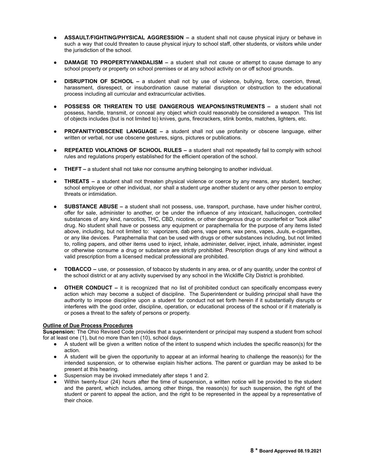- **ASSAULT***/***FIGHTING/PHYSICAL AGGRESSION –** a student shall not cause physical injury or behave in such a way that could threaten to cause physical injury to school staff, other students, or visitors while under the jurisdiction of the school.
- **DAMAGE TO PROPERTY/VANDALISM a student shall not cause or attempt to cause damage to any** school property or property on school premises or at any school activity on or off school grounds.
- **DISRUPTION OF SCHOOL –** a student shall not by use of violence, bullying, force, coercion, threat, harassment, disrespect, or insubordination cause material disruption or obstruction to the educational process including all curricular and extracurricular activities.
- **POSSESS OR THREATEN TO USE DANGEROUS WEAPONS/INSTRUMENTS –** a student shall not possess, handle, transmit, or conceal any object which could reasonably be considered a weapon. This list of objects includes (but is not limited to) knives, guns, firecrackers, stink bombs, matches, lighters, etc.
- **PROFANITY/OBSCENE LANGUAGE –** a student shall not use profanity or obscene language, either written or verbal, nor use obscene gestures, signs, pictures or publications.
- **REPEATED VIOLATIONS OF SCHOOL RULES –** a student shall not repeatedly fail to comply with school rules and regulations properly established for the efficient operation of the school.
- **THEFT –** a student shall not take nor consume anything belonging to another individual.
- **THREATS** a student shall not threaten physical violence or coerce by any means, any student, teacher, school employee or other individual, nor shall a student urge another student or any other person to employ threats or intimidation.
- **SUBSTANCE ABUSE –** a student shall not possess, use, transport, purchase, have under his/her control, offer for sale, administer to another, or be under the influence of any intoxicant, hallucinogen, controlled substances of any kind, narcotics, THC, CBD, nicotine, or other dangerous drug or counterfeit or "look alike" drug. No student shall have or possess any equipment or paraphernalia for the purpose of any items listed above, including, but not limited to: vaporizers, dab pens, vape pens, wax pens, vapes, Juuls, e-cigarettes, or any like devices. Paraphernalia that can be used with drugs or other substances including, but not limited to, rolling papers, and other items used to inject, inhale, administer, deliver, inject, inhale, administer, ingest or otherwise consume a drug or substance are strictly prohibited. Prescription drugs of any kind without a valid prescription from a licensed medical professional are prohibited.
- **TOBACCO** use, or possession, of tobacco by students in any area, or of any quantity, under the control of the school district or at any activity supervised by any school in the Wickliffe City District is prohibited.
- **OTHER CONDUCT** it is recognized that no list of prohibited conduct can specifically encompass every action which may become a subject of discipline. The Superintendent or building principal shall have the authority to impose discipline upon a student for conduct not set forth herein if it substantially disrupts or interferes with the good order, discipline, operation, or educational process of the school or if it materially is or poses a threat to the safety of persons or property.

#### **Outline of Due Process Procedures**

**Suspension:** The Ohio Revised Code provides that a superintendent or principal may suspend a student from school for at least one (1), but no more than ten (10), school days.

- A student will be given a written notice of the intent to suspend which includes the specific reason(s) for the action.
- A student will be given the opportunity to appear at an informal hearing to challenge the reason(s) for the intended suspension, or to otherwise explain his/her actions. The parent or guardian may be asked to be present at this hearing.
- Suspension may be invoked immediately after steps 1 and 2.
- Within twenty-four (24) hours after the time of suspension, a written notice will be provided to the student and the parent, which includes, among other things, the reason(s) for such suspension, the right of the student or parent to appeal the action, and the right to be represented in the appeal by a representative of their choice.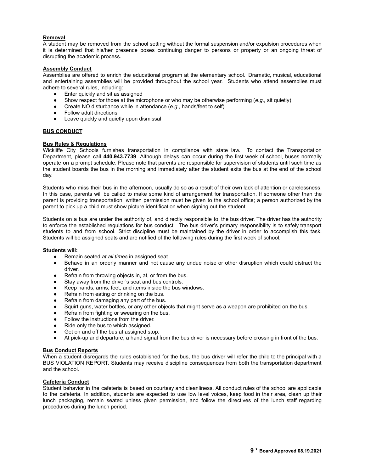#### **Removal**

A student may be removed from the school setting without the formal suspension and/or expulsion procedures when it is determined that his/her presence poses continuing danger to persons or property or an ongoing threat of disrupting the academic process.

#### **Assembly Conduct**

Assemblies are offered to enrich the educational program at the elementary school. Dramatic, musical, educational and entertaining assemblies will be provided throughout the school year. Students who attend assemblies must adhere to several rules, including:

- Enter quickly and sit as assigned
- Show respect for those at the microphone or who may be otherwise performing (*e.g.,* sit quietly)
- Create NO disturbance while in attendance (*e.g.,* hands/feet to self)
- Follow adult directions
- Leave quickly and quietly upon dismissal

#### **BUS CONDUCT**

#### **Bus Rules & Regulations**

Wickliffe City Schools furnishes transportation in compliance with state law. To contact the Transportation Department, please call **440.943.7739**. Although delays can occur during the first week of school, buses normally operate on a prompt schedule. Please note that parents are responsible for supervision of students until such time as the student boards the bus in the morning and immediately after the student exits the bus at the end of the school day.

Students who miss their bus in the afternoon, usually do so as a result of their own lack of attention or carelessness. In this case, parents will be called to make some kind of arrangement for transportation. If someone other than the parent is providing transportation, written permission must be given to the school office; a person authorized by the parent to pick up a child must show picture identification when signing out the student.

Students on a bus are under the authority of, and directly responsible to, the bus driver. The driver has the authority to enforce the established regulations for bus conduct. The bus driver's primary responsibility is to safely transport students to and from school. Strict discipline must be maintained by the driver in order to accomplish this task. Students will be assigned seats and are notified of the following rules during the first week of school.

#### **Students will:**

- Remain seated *at all times* in assigned seat.
- Behave in an orderly manner and not cause any undue noise or other disruption which could distract the driver.
- Refrain from throwing objects in, at, or from the bus.
- Stay away from the driver's seat and bus controls.
- Keep hands, arms, feet, and items inside the bus windows.
- Refrain from eating or drinking on the bus.
- Refrain from damaging any part of the bus.
- Squirt guns, water bottles, or any other objects that might serve as a weapon are prohibited on the bus.
- Refrain from fighting or swearing on the bus.
- Follow the instructions from the driver.
- Ride only the bus to which assigned.
- Get on and off the bus at assigned stop.
- At pick-up and departure, a hand signal from the bus driver is necessary before crossing in front of the bus.

#### **Bus Conduct Reports**

When a student disregards the rules established for the bus, the bus driver will refer the child to the principal with a BUS VIOLATION REPORT. Students may receive discipline consequences from both the transportation department and the school.

#### **Cafeteria Conduct**

Student behavior in the cafeteria is based on courtesy and cleanliness. All conduct rules of the school are applicable to the cafeteria. In addition, students are expected to use low level voices, keep food in their area, clean up their lunch packaging, remain seated unless given permission, and follow the directives of the lunch staff regarding procedures during the lunch period.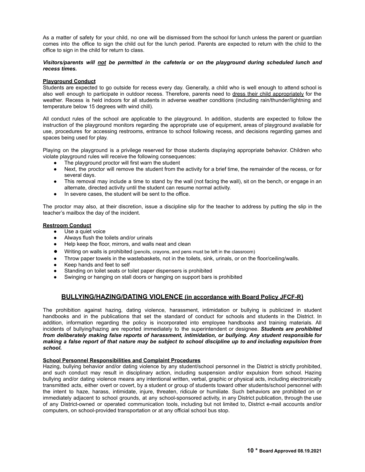As a matter of safety for your child, no one will be dismissed from the school for lunch unless the parent or guardian comes into the office to sign the child out for the lunch period. Parents are expected to return with the child to the office to sign in the child for return to class.

#### *Visitors/parents will not be permitted in the cafeteria or on the playground during scheduled lunch and recess times.*

#### **Playground Conduct**

Students are expected to go outside for recess every day. Generally, a child who is well enough to attend school is also well enough to participate in outdoor recess. Therefore, parents need to dress their child appropriately for the weather. Recess is held indoors for all students in adverse weather conditions (including rain/thunder/lightning and temperature below 15 degrees with wind chill).

All conduct rules of the school are applicable to the playground. In addition, students are expected to follow the instruction of the playground monitors regarding the appropriate use of equipment, areas of playground available for use, procedures for accessing restrooms, entrance to school following recess, and decisions regarding games and spaces being used for play.

Playing on the playground is a privilege reserved for those students displaying appropriate behavior. Children who violate playground rules will receive the following consequences:

- The playground proctor will first warn the student
- Next, the proctor will remove the student from the activity for a brief time, the remainder of the recess, or for several days.
- This removal may include a time to stand by the wall (not facing the wall), sit on the bench, or engage in an alternate, directed activity until the student can resume normal activity.
- In severe cases, the student will be sent to the office.

The proctor may also, at their discretion, issue a discipline slip for the teacher to address by putting the slip in the teacher's mailbox the day of the incident.

#### **Restroom Conduct**

- Use a quiet voice
- Always flush the toilets and/or urinals
- Help keep the floor, mirrors, and walls neat and clean
- Writing on walls is prohibited (pencils, crayons, and pens must be left in the classroom)
- Throw paper towels in the wastebaskets, not in the toilets, sink, urinals, or on the floor/ceiling/walls.
- Keep hands and feet to self
- Standing on toilet seats or toilet paper dispensers is prohibited
- Swinging or hanging on stall doors or hanging on support bars is prohibited

# **BULLYING/HAZING/DATING VIOLENCE (in accordance with Board Policy JFCF-R)**

The prohibition against hazing, dating violence, harassment, intimidation or bullying is publicized in student handbooks and in the publications that set the standard of conduct for schools and students in the District. In addition, information regarding the policy is incorporated into employee handbooks and training materials. All incidents of bullying/hazing are reported immediately to the superintendent or designee. *Students are prohibited from deliberately making false reports of harassment, intimidation, or bullying. Any student responsible for* making a false report of that nature may be subject to school discipline up to and including expulsion from *school.*

#### **School Personnel Responsibilities and Complaint Procedures**

Hazing, bullying behavior and/or dating violence by any student/school personnel in the District is strictly prohibited, and such conduct may result in disciplinary action, including suspension and/or expulsion from school. Hazing bullying and/or dating violence means any intentional written, verbal, graphic or physical acts, including electronically transmitted acts, either overt or covert, by a student or group of students toward other students/school personnel with the intent to haze, harass, intimidate, injure, threaten, ridicule or humiliate. Such behaviors are prohibited on or immediately adjacent to school grounds, at any school-sponsored activity, in any District publication, through the use of any District-owned or operated communication tools, including but not limited to, District e-mail accounts and/or computers, on school-provided transportation or at any official school bus stop.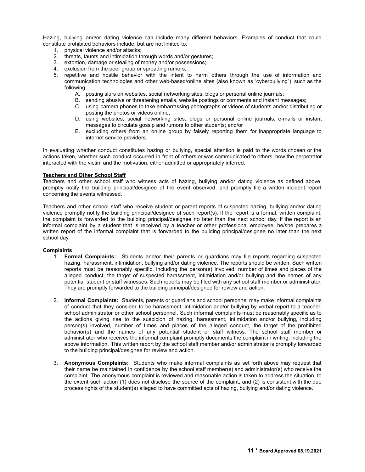Hazing, bullying and/or dating violence can include many different behaviors. Examples of conduct that could constitute prohibited behaviors include, but are not limited to:

- 1. physical violence and/or attacks;
- 2. threats, taunts and intimidation through words and/or gestures;
- 3. extortion, damage or stealing of money and/or possessions;
- 4. exclusion from the peer group or spreading rumors;
- 5. repetitive and hostile behavior with the intent to harm others through the use of information and communication technologies and other web-based/online sites (also known as "cyberbullying"), such as the following:
	- A. posting slurs on websites, social networking sites, blogs or personal online journals;
	- B. sending abusive or threatening emails, website postings or comments and instant messages;
	- C. using camera phones to take embarrassing photographs or videos of students and/or distributing or posting the photos or videos online;
	- D. using websites, social networking sites, blogs or personal online journals, e-mails or instant messages to circulate gossip and rumors to other students; and/or
	- E. excluding others from an online group by falsely reporting them for inappropriate language to internet service providers.

In evaluating whether conduct constitutes hazing or bullying, special attention is paid to the words chosen or the actions taken, whether such conduct occurred in front of others or was communicated to others, how the perpetrator interacted with the victim and the motivation, either admitted or appropriately inferred.

#### **Teachers and Other School Staff**

Teachers and other school staff who witness acts of hazing, bullying and/or dating violence as defined above, promptly notify the building principal/designee of the event observed, and promptly file a written incident report concerning the events witnessed.

Teachers and other school staff who receive student or parent reports of suspected hazing, bullying and/or dating violence promptly notify the building principal/designee of such report(s). If the report is a formal, written complaint, the complaint is forwarded to the building principal/designee no later than the next school day. If the report is an informal complaint by a student that is received by a teacher or other professional employee, he/she prepares a written report of the informal complaint that is forwarded to the building principal/designee no later than the next school day.

#### **Complaints**

- 1. **Formal Complaints:** Students and/or their parents or guardians may file reports regarding suspected hazing, harassment, intimidation, bullying and/or dating violence. The reports should be written. Such written reports must be reasonably specific, including the person(s) involved; number of times and places of the alleged conduct; the target of suspected harassment, intimidation and/or bullying and the names of any potential student or staff witnesses. Such reports may be filed with any school staff member or administrator. They are promptly forwarded to the building principal/designee for review and action.
- 2. **Informal Complaints:** Students, parents or guardians and school personnel may make informal complaints of conduct that they consider to be harassment, intimidation and/or bullying by verbal report to a teacher, school administrator or other school personnel. Such informal complaints must be reasonably specific as to the actions giving rise to the suspicion of hazing, harassment, intimidation and/or bullying, including person(s) involved, number of times and places of the alleged conduct, the target of the prohibited behavior(s) and the names of any potential student or staff witness. The school staff member or administrator who receives the informal complaint promptly documents the complaint in writing, including the above information. This written report by the school staff member and/or administrator is promptly forwarded to the building principal/designee for review and action.
- 3. **Anonymous Complaints:** Students who make informal complaints as set forth above may request that their name be maintained in confidence by the school staff member(s) and administrator(s) who receive the complaint. The anonymous complaint is reviewed and reasonable action is taken to address the situation, to the extent such action (1) does not disclose the source of the complaint, and (2) is consistent with the due process rights of the student(s) alleged to have committed acts of hazing, bullying and/or dating violence.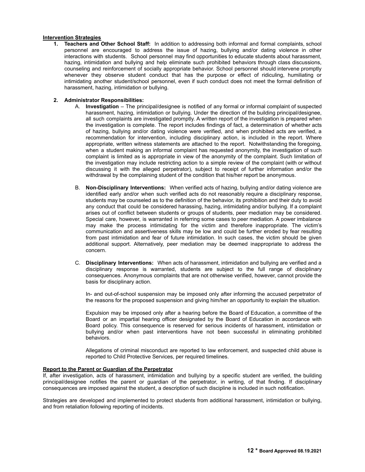#### **Intervention Strategies**

**1. Teachers and Other School Staff:** In addition to addressing both informal and formal complaints, school personnel are encouraged to address the issue of hazing, bullying and/or dating violence in other interactions with students. School personnel may find opportunities to educate students about harassment, hazing, intimidation and bullying and help eliminate such prohibited behaviors through class discussions, counseling and reinforcement of socially appropriate behavior. School personnel should intervene promptly whenever they observe student conduct that has the purpose or effect of ridiculing, humiliating or intimidating another student/school personnel, even if such conduct does not meet the formal definition of harassment, hazing, intimidation or bullying.

#### **2. Administrator Responsibilities:**

- A. **Investigation** The principal/designee is notified of any formal or informal complaint of suspected harassment, hazing, intimidation or bullying. Under the direction of the building principal/designee, all such complaints are investigated promptly. A written report of the investigation is prepared when the investigation is complete. The report includes findings of fact, a determination of whether acts of hazing, bullying and/or dating violence were verified, and when prohibited acts are verified, a recommendation for intervention, including disciplinary action, is included in the report. Where appropriate, written witness statements are attached to the report. Notwithstanding the foregoing, when a student making an informal complaint has requested anonymity, the investigation of such complaint is limited as is appropriate in view of the anonymity of the complaint. Such limitation of the investigation may include restricting action to a simple review of the complaint (with or without discussing it with the alleged perpetrator), subject to receipt of further information and/or the withdrawal by the complaining student of the condition that his/her report be anonymous.
- B. **Non-Disciplinary Interventions:** When verified acts of hazing, bullying and/or dating violence are identified early and/or when such verified acts do not reasonably require a disciplinary response, students may be counseled as to the definition of the behavior, its prohibition and their duty to avoid any conduct that could be considered harassing, hazing, intimidating and/or bullying. If a complaint arises out of conflict between students or groups of students, peer mediation may be considered. Special care, however, is warranted in referring some cases to peer mediation. A power imbalance may make the process intimidating for the victim and therefore inappropriate. The victim's communication and assertiveness skills may be low and could be further eroded by fear resulting from past intimidation and fear of future intimidation. In such cases, the victim should be given additional support. Alternatively, peer mediation may be deemed inappropriate to address the concern.
- C. **Disciplinary Interventions:** When acts of harassment, intimidation and bullying are verified and a disciplinary response is warranted, students are subject to the full range of disciplinary consequences. Anonymous complaints that are not otherwise verified, however, cannot provide the basis for disciplinary action.

In- and out-of-school suspension may be imposed only after informing the accused perpetrator of the reasons for the proposed suspension and giving him/her an opportunity to explain the situation.

Expulsion may be imposed only after a hearing before the Board of Education, a committee of the Board or an impartial hearing officer designated by the Board of Education in accordance with Board policy. This consequence is reserved for serious incidents of harassment, intimidation or bullying and/or when past interventions have not been successful in eliminating prohibited behaviors.

Allegations of criminal misconduct are reported to law enforcement, and suspected child abuse is reported to Child Protective Services, per required timelines.

#### **Report to the Parent or Guardian of the Perpetrator**

If, after investigation, acts of harassment, intimidation and bullying by a specific student are verified, the building principal/designee notifies the parent or guardian of the perpetrator, in writing, of that finding. If disciplinary consequences are imposed against the student, a description of such discipline is included in such notification.

Strategies are developed and implemented to protect students from additional harassment, intimidation or bullying, and from retaliation following reporting of incidents.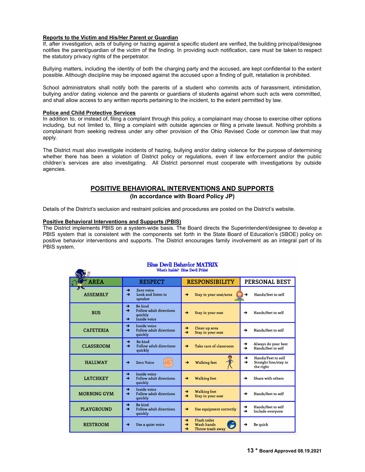#### **Reports to the Victim and His/Her Parent or Guardian**

If, after investigation, acts of bullying or hazing against a specific student are verified, the building principal/designee notifies the parent/guardian of the victim of the finding. In providing such notification, care must be taken to respect the statutory privacy rights of the perpetrator.

Bullying matters, including the identity of both the charging party and the accused, are kept confidential to the extent possible. Although discipline may be imposed against the accused upon a finding of guilt, retaliation is prohibited.

School administrators shall notify both the parents of a student who commits acts of harassment, intimidation, bullying and/or dating violence and the parents or guardians of students against whom such acts were committed, and shall allow access to any written reports pertaining to the incident, to the extent permitted by law.

#### **Police and Child Protective Services**

 $\mathcal{L}$ 

In addition to, or instead of, filing a complaint through this policy, a complainant may choose to exercise other options including, but not limited to, filing a complaint with outside agencies or filing a private lawsuit. Nothing prohibits a complainant from seeking redress under any other provision of the Ohio Revised Code or common law that may apply.

The District must also investigate incidents of hazing, bullying and/or dating violence for the purpose of determining whether there has been a violation of District policy or regulations, even if law enforcement and/or the public children's services are also investigating. All District personnel must cooperate with investigations by outside agencies.

## **POSITIVE BEHAVIORAL INTERVENTIONS AND SUPPORTS (In accordance with Board Policy JP)**

Details of the District's seclusion and restraint policies and procedures are posted on the District's website.

#### **Positive Behavioral Interventions and Supports (PBIS)**

The District implements PBIS on a system-wide basis. The Board directs the Superintendent/designee to develop a PBIS system that is consistent with the components set forth in the State Board of Education's (SBOE) policy on positive behavior interventions and supports. The District encourages family involvement as an integral part of its PBIS system.

| <b>DAR</b>         |                                                                                                                  |                                                                            |                                                                                |
|--------------------|------------------------------------------------------------------------------------------------------------------|----------------------------------------------------------------------------|--------------------------------------------------------------------------------|
| <b>ST</b> AREA     | <b>RESPECT</b>                                                                                                   | <b>RESPONSIBILITY</b>                                                      | PERSONAL BEST                                                                  |
| <b>ASSEMBLY</b>    | →<br>Zero voice<br>Look and listen to<br>→<br>speaker                                                            | Stay in your seat/area<br>→                                                | Hands/feet to self<br>→                                                        |
| <b>BUS</b>         | Be kind<br>$\rightarrow$<br>Follow adult directions<br>$\rightarrow$<br>quickly<br>Inside voice<br>$\rightarrow$ | $\rightarrow$<br>Stay in your seat                                         | Hands/feet to self<br>→                                                        |
| <b>CAFETERIA</b>   | Inside voice<br>→<br>Follow adult directions<br>$\rightarrow$<br>quickly                                         | Clean up area<br>→<br>$\rightarrow$<br>Stay in your seat                   | Hands/feet to self<br>→                                                        |
| <b>CLASSROOM</b>   | Be kind<br>→<br>Follow adult directions<br>→<br>quickly                                                          | Take care of classroom<br>→                                                | Always do your best<br>→<br>Hands/feet to self<br>→                            |
| <b>HALLWAY</b>     | Zero Voice<br>→                                                                                                  | <b>Walking feet</b><br>→                                                   | Hands/Feet to self<br>→<br>$\rightarrow$<br>Straight line/stay to<br>the right |
| <b>LATCHKEY</b>    | <b>Inside voice</b><br>$\rightarrow$<br><b>Follow adult directions</b><br>$\rightarrow$<br>quickly               | <b>Walking feet</b><br>→                                                   | Share with others<br>→                                                         |
| <b>MORNING GYM</b> | Inside voice<br>$\rightarrow$<br>Follow adult directions<br>$\rightarrow$<br>quickly                             | <b>Walking feet</b><br>$\rightarrow$<br>Stay in your seat<br>$\rightarrow$ | Hands/feet to self<br>→                                                        |
| <b>PLAYGROUND</b>  | Be kind<br>$\rightarrow$<br>Follow adult directions<br>$\rightarrow$<br>quickly                                  | Use equipment correctly<br>→                                               | Hands/feet to self<br>→<br>→<br>Include everyone                               |
| <b>RESTROOM</b>    | Use a quiet voice<br>→                                                                                           | <b>Flush toilet</b><br>→<br>Wash hands<br>→<br>Throw trash away<br>→       | <b>Be</b> quick<br>→                                                           |

#### **Blue Devil Behavior MATRIX** What's Inside? Blue Devil Pride!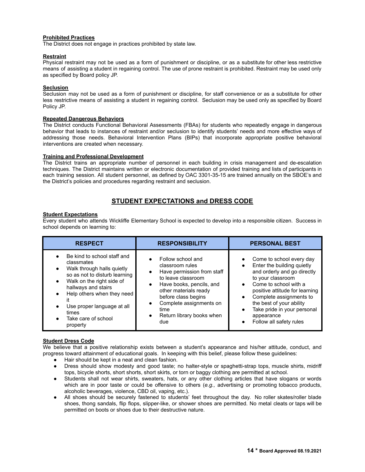#### **Prohibited Practices**

The District does not engage in practices prohibited by state law.

#### **Restraint**

Physical restraint may not be used as a form of punishment or discipline, or as a substitute for other less restrictive means of assisting a student in regaining control. The use of prone restraint is prohibited. Restraint may be used only as specified by Board policy JP.

#### **Seclusion**

Seclusion may not be used as a form of punishment or discipline, for staff convenience or as a substitute for other less restrictive means of assisting a student in regaining control. Seclusion may be used only as specified by Board Policy JP.

#### **Repeated Dangerous Behaviors**

The District conducts Functional Behavioral Assessments (FBAs) for students who repeatedly engage in dangerous behavior that leads to instances of restraint and/or seclusion to identify students' needs and more effective ways of addressing those needs. Behavioral Intervention Plans (BIPs) that incorporate appropriate positive behavioral interventions are created when necessary.

#### **Training and Professional Development**

The District trains an appropriate number of personnel in each building in crisis management and de-escalation techniques. The District maintains written or electronic documentation of provided training and lists of participants in each training session. All student personnel, as defined by OAC 3301-35-15 are trained annually on the SBOE's and the District's policies and procedures regarding restraint and seclusion.

# **STUDENT EXPECTATIONS and DRESS CODE**

#### **Student Expectations**

Every student who attends Wickliffe Elementary School is expected to develop into a responsible citizen. Success in school depends on learning to:

| <b>RESPECT</b>                                                                                                                                                                                                                                                                                 | <b>RESPONSIBILITY</b>                                                                                                                                                                                                                                    | <b>PERSONAL BEST</b>                                                                                                                                                                                                                                                                                                                                                  |
|------------------------------------------------------------------------------------------------------------------------------------------------------------------------------------------------------------------------------------------------------------------------------------------------|----------------------------------------------------------------------------------------------------------------------------------------------------------------------------------------------------------------------------------------------------------|-----------------------------------------------------------------------------------------------------------------------------------------------------------------------------------------------------------------------------------------------------------------------------------------------------------------------------------------------------------------------|
| Be kind to school staff and<br>classmates<br>Walk through halls quietly<br>$\bullet$<br>so as not to disturb learning<br>Walk on the right side of<br>$\bullet$<br>hallways and stairs<br>Help others when they need<br>Use proper language at all<br>times<br>Take care of school<br>property | Follow school and<br>classroom rules<br>Have permission from staff<br>to leave classroom<br>Have books, pencils, and<br>$\bullet$<br>other materials ready<br>before class begins<br>Complete assignments on<br>time<br>Return library books when<br>due | Come to school every day<br>Enter the building quietly<br>$\bullet$<br>and orderly and go directly<br>to your classroom<br>Come to school with a<br>$\bullet$<br>positive attitude for learning<br>Complete assignments to<br>$\bullet$<br>the best of your ability<br>Take pride in your personal<br>$\bullet$<br>appearance<br>Follow all safety rules<br>$\bullet$ |

#### **Student Dress Code**

We believe that a positive relationship exists between a student's appearance and his/her attitude, conduct, and progress toward attainment of educational goals. In keeping with this belief, please follow these guidelines:

● Hair should be kept in a neat and clean fashion.

- Dress should show modesty and good taste; no halter-style or spaghetti-strap tops, muscle shirts, midriff tops, bicycle shorts, short shorts, short skirts, or torn or baggy clothing are permitted at school.
- Students shall not wear shirts, sweaters, hats, or any other clothing articles that have slogans or words which are in poor taste or could be offensive to others (*e.g.,* advertising or promoting tobacco products, alcoholic beverages, violence, CBD oil, vaping, etc.).
- All shoes should be securely fastened to students' feet throughout the day. No roller skates/roller blade shoes, thong sandals, flip flops, slipper-like, or shower shoes are permitted. No metal cleats or taps will be permitted on boots or shoes due to their destructive nature.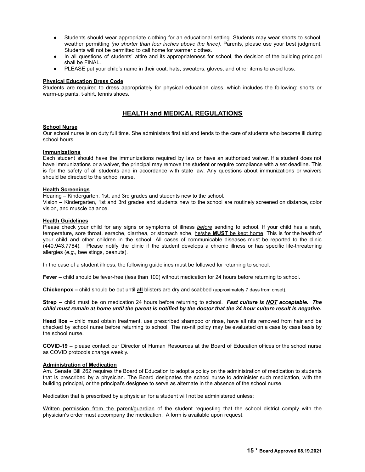- Students should wear appropriate clothing for an educational setting. Students may wear shorts to school, weather permitting *(no shorter than four inches above the knee)*. Parents, please use your best judgment. Students will not be permitted to call home for warmer clothes.
- In all questions of students' attire and its appropriateness for school, the decision of the building principal shall be FINAL.
- PLEASE put your child's name in their coat, hats, sweaters, gloves, and other items to avoid loss.

#### **Physical Education Dress Code**

Students are required to dress appropriately for physical education class, which includes the following: shorts or warm-up pants, t-shirt, tennis shoes.

# **HEALTH and MEDICAL REGULATIONS**

#### **School Nurse**

Our school nurse is on duty full time. She administers first aid and tends to the care of students who become ill during school hours.

#### **Immunizations**

Each student should have the immunizations required by law or have an authorized waiver. If a student does not have immunizations or a waiver, the principal may remove the student or require compliance with a set deadline. This is for the safety of all students and in accordance with state law. Any questions about immunizations or waivers should be directed to the school nurse.

#### **Health Screenings**

Hearing – Kindergarten, 1st, and 3rd grades and students new to the school.

Vision – Kindergarten, 1st and 3rd grades and students new to the school are routinely screened on distance, color vision, and muscle balance.

#### **Health Guidelines**

Please check your child for any signs or symptoms of illness *before* sending to school. If your child has a rash, temperature, sore throat, earache, diarrhea, or stomach ache, he/she **MUST** be kept home. This is for the health of your child and other children in the school. All cases of communicable diseases must be reported to the clinic (440.943.7784). Please notify the clinic if the student develops a chronic illness or has specific life-threatening allergies (*e.g.,* bee stings, peanuts).

In the case of a student illness, the following guidelines must be followed for returning to school:

**Fever –** child should be fever-free (less than 100) without medication for 24 hours before returning to school.

**Chickenpox –** child should be out until **all** blisters are dry and scabbed (approximately 7 days from onset).

**Strep –** child must be on medication 24 hours before returning to school. *Fast culture is NOT acceptable. The child must remain at home until the parent is notified by the doctor that the 24 hour culture result is negative.*

**Head lice –** child must obtain treatment, use prescribed shampoo or rinse, have all nits removed from hair and be checked by school nurse before returning to school. The no-nit policy may be evaluated on a case by case basis by the school nurse.

**COVID-19 –** please contact our Director of Human Resources at the Board of Education offices or the school nurse as COVID protocols change weekly.

#### **Administration of Medication**

Am. Senate Bill 262 requires the Board of Education to adopt a policy on the administration of medication to students that is prescribed by a physician. The Board designates the school nurse to administer such medication, with the building principal, or the principal's designee to serve as alternate in the absence of the school nurse.

Medication that is prescribed by a physician for a student will not be administered unless:

Written permission from the parent/guardian of the student requesting that the school district comply with the physician's order must accompany the medication. A form is available upon request.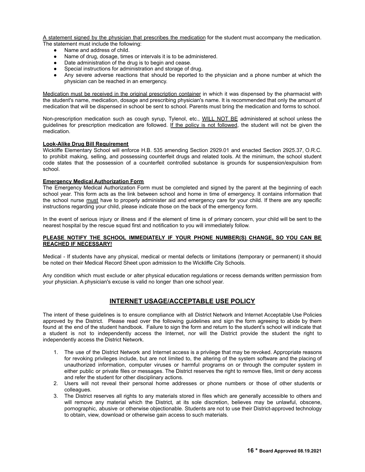A statement signed by the physician that prescribes the medication for the student must accompany the medication. The statement must include the following:

- Name and address of child.
- Name of drug, dosage, times or intervals it is to be administered.
- Date administration of the drug is to begin and cease.
- Special instructions for administration and storage of drug.
- Any severe adverse reactions that should be reported to the physician and a phone number at which the physician can be reached in an emergency.

Medication must be received in the original prescription container in which it was dispensed by the pharmacist with the student's name, medication, dosage and prescribing physician's name. It is recommended that only the amount of medication that will be dispensed in school be sent to school. Parents must bring the medication and forms to school.

Non-prescription medication such as cough syrup, Tylenol, etc., WILL NOT BE administered at school unless the guidelines for prescription medication are followed. If the policy is not followed, the student will not be given the medication.

#### **Look-Alike Drug Bill Requirement**

Wickliffe Elementary School will enforce H.B. 535 amending Section 2929.01 and enacted Section 2925.37, O.R.C. to prohibit making, selling, and possessing counterfeit drugs and related tools. At the minimum, the school student code states that the possession of a counterfeit controlled substance is grounds for suspension/expulsion from school.

#### **Emergency Medical Authorization Form**

The Emergency Medical Authorization Form must be completed and signed by the parent at the beginning of each school year. This form acts as the link between school and home in time of emergency. It contains information that the school nurse must have to properly administer aid and emergency care for your child. If there are any specific instructions regarding your child, please indicate those on the back of the emergency form.

In the event of serious injury or illness and if the element of time is of primary concern, your child will be sent to the nearest hospital by the rescue squad first and notification to you will immediately follow.

#### **PLEASE NOTIFY THE SCHOOL IMMEDIATELY IF YOUR PHONE NUMBER(S) CHANGE, SO YOU CAN BE REACHED IF NECESSARY!**

Medical - If students have any physical, medical or mental defects or limitations (temporary or permanent) it should be noted on their Medical Record Sheet upon admission to the Wickliffe City Schools.

Any condition which must exclude or alter physical education regulations or recess demands written permission from your physician. A physician's excuse is valid no longer than one school year.

# **INTERNET USAGE/ACCEPTABLE USE POLICY**

The intent of these guidelines is to ensure compliance with all District Network and Internet Acceptable Use Policies approved by the District. Please read over the following guidelines and sign the form agreeing to abide by them found at the end of the student handbook. Failure to sign the form and return to the student's school will indicate that a student is not to independently access the Internet, nor will the District provide the student the right to independently access the District Network.

- 1. The use of the District Network and Internet access is a privilege that may be revoked. Appropriate reasons for revoking privileges include, but are not limited to, the altering of the system software and the placing of unauthorized information, computer viruses or harmful programs on or through the computer system in either public or private files or messages. The District reserves the right to remove files, limit or deny access and refer the student for other disciplinary actions.
- 2. Users will not reveal their personal home addresses or phone numbers or those of other students or colleagues.
- 3. The District reserves all rights to any materials stored in files which are generally accessible to others and will remove any material which the District, at its sole discretion, believes may be unlawful, obscene, pornographic, abusive or otherwise objectionable. Students are not to use their District-approved technology to obtain, view, download or otherwise gain access to such materials.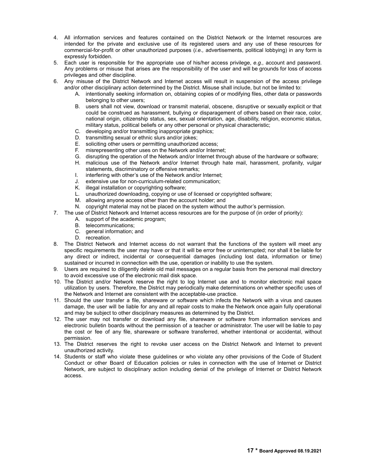- 4. All information services and features contained on the District Network or the Internet resources are intended for the private and exclusive use of its registered users and any use of these resources for commercial-for-profit or other unauthorized purposes (*i.e.,* advertisements, political lobbying) in any form is expressly forbidden.
- 5. Each user is responsible for the appropriate use of his/her access privilege, *e.g.,* account and password. Any problems or misuse that arises are the responsibility of the user and will be grounds for loss of access privileges and other discipline.
- 6. Any misuse of the District Network and Internet access will result in suspension of the access privilege and/or other disciplinary action determined by the District. Misuse shall include, but not be limited to:
	- A. intentionally seeking information on, obtaining copies of or modifying files, other data or passwords belonging to other users;
	- B. users shall not view, download or transmit material, obscene, disruptive or sexually explicit or that could be construed as harassment, bullying or disparagement of others based on their race, color, national origin, citizenship status, sex, sexual orientation, age, disability, religion, economic status, military status, political beliefs or any other personal or physical characteristic;
	- C. developing and/or transmitting inappropriate graphics;
	- D. transmitting sexual or ethnic slurs and/or jokes;
	- E. soliciting other users or permitting unauthorized access;
	- F. misrepresenting other uses on the Network and/or Internet;
	- G. disrupting the operation of the Network and/or Internet through abuse of the hardware or software;
	- H. malicious use of the Network and/or Internet through hate mail, harassment, profanity, vulgar statements, discriminatory or offensive remarks;
	- I. interfering with other's use of the Network and/or Internet;
	- J. extensive use for non-curriculum-related communication;
	- K. illegal installation or copyrighting software;
	- L. unauthorized downloading, copying or use of licensed or copyrighted software;
	- M. allowing anyone access other than the account holder; and
	- N. copyright material may not be placed on the system without the author's permission.
- 7. The use of District Network and Internet access resources are for the purpose of (in order of priority):
	- A. support of the academic program;
	- B. telecommunications;
	- C. general information; and
	- D. recreation.
- 8. The District Network and Internet access do not warrant that the functions of the system will meet any specific requirements the user may have or that it will be error free or uninterrupted; nor shall it be liable for any direct or indirect, incidental or consequential damages (including lost data, information or time) sustained or incurred in connection with the use, operation or inability to use the system.
- 9. Users are required to diligently delete old mail messages on a regular basis from the personal mail directory to avoid excessive use of the electronic mail disk space.
- 10. The District and/or Network reserve the right to log Internet use and to monitor electronic mail space utilization by users. Therefore, the District may periodically make determinations on whether specific uses of the Network and Internet are consistent with the acceptable-use practice.
- 11. Should the user transfer a file, shareware or software which infects the Network with a virus and causes damage, the user will be liable for any and all repair costs to make the Network once again fully operational and may be subject to other disciplinary measures as determined by the District.
- 12. The user may not transfer or download any file, shareware or software from information services and electronic bulletin boards without the permission of a teacher or administrator. The user will be liable to pay the cost or fee of any file, shareware or software transferred, whether intentional or accidental, without permission.
- 13. The District reserves the right to revoke user access on the District Network and Internet to prevent unauthorized activity.
- 14. Students or staff who violate these guidelines or who violate any other provisions of the Code of Student Conduct or other Board of Education policies or rules in connection with the use of Internet or District Network, are subject to disciplinary action including denial of the privilege of Internet or District Network access.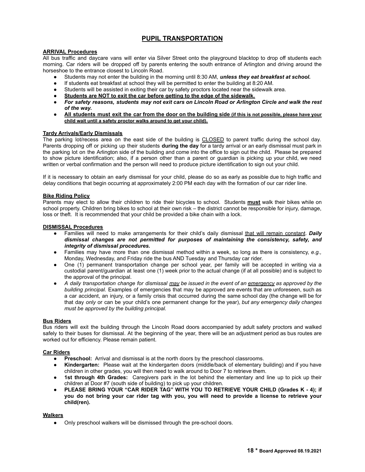# **PUPIL TRANSPORTATION**

#### **ARRIVAL Procedures**

All bus traffic and daycare vans will enter via Silver Street onto the playground blacktop to drop off students each morning. Car riders will be dropped off by parents entering the south entrance of Arlington and driving around the horseshoe to the entrance closest to Lincoln Road.

- Students may not enter the building in the morning until 8:30 AM, *unless they eat breakfast at school.*
- If students eat breakfast at school they will be permitted to enter the building at 8:20 AM.
- Students will be assisted in exiting their car by safety proctors located near the sidewalk area.
- **Students are NOT to exit the car before getting to the edge of the sidewalk.**
- For safety reasons, students may not exit cars on Lincoln Road or Arlington Circle and walk the rest *of the way.*
- All students must exit the car from the door on the building side (if this is not possible, please have your **child wait until a safety proctor walks around to get your child).**

#### **Tardy Arrivals/Early Dismissals**

The parking lot/recess area on the east side of the building is CLOSED to parent traffic during the school day*.* Parents dropping off or picking up their students **during the day** for a tardy arrival or an early dismissal must park in the parking lot on the Arlington side of the building and come into the office to sign out the child. Please be prepared to show picture identification; also, if a person other than a parent or guardian is picking up your child, we need written or verbal confirmation and the person will need to produce picture identification to sign out your child.

If it is necessary to obtain an early dismissal for your child, please do so as early as possible due to high traffic and delay conditions that begin occurring at approximately 2:00 PM each day with the formation of our car rider line.

#### **Bike Riding Policy**

Parents may elect to allow their children to ride their bicycles to school. Students **must** walk their bikes while on school property. Children bring bikes to school at their own risk – the district cannot be responsible for injury, damage, loss or theft. It is recommended that your child be provided a bike chain with a lock.

#### **DISMISSAL Procedures**

- Families will need to make arrangements for their child's daily dismissal that will remain constant. Daily *dismissal changes are not permitted for purposes of maintaining the consistency, safety, and integrity of dismissal procedures.*
- Families may have more than one dismissal method within a week, so long as there is consistency, *e.g.,* Monday, Wednesday, and Friday ride the bus AND Tuesday and Thursday car rider.
- One (1) permanent transportation change per school year, per family will be accepted in writing via a custodial parent/guardian at least one (1) week prior to the actual change (if at all possible) and is subject to the approval of the principal.
- A daily transportation change for dismissal may be issued in the event of an emergency as approved by the *building principal.* Examples of emergencies that may be approved are events that are unforeseen, such as a car accident, an injury, or a family crisis that occurred during the same school day (the change will be for that day *only* or can be your child's one permanent change for the year), *but any emergency daily changes must be approved by the building principal.*

#### **Bus Riders**

Bus riders will exit the building through the Lincoln Road doors accompanied by adult safety proctors and walked safely to their buses for dismissal. At the beginning of the year, there will be an adjustment period as bus routes are worked out for efficiency. Please remain patient.

#### **Car Riders**

- **Preschool:** Arrival and dismissal is at the north doors by the preschool classrooms.
- **Kindergarten:** Please wait at the kindergarten doors (middle/back of elementary building) and if you have children in other grades, you will then need to walk around to Door 7 to retrieve them.
- **1st through 4th Grades:** Caregivers park in the lot behind the elementary and line up to pick up their children at Door #7 (south side of building) to pick up your children.
- **● PLEASE BRING YOUR "CAR RIDER TAG" WITH YOU TO RETRIEVE YOUR CHILD (Grades K - 4); if** you do not bring your car rider tag with you, you will need to provide a license to retrieve your **child(ren).**

#### **Walkers**

● Only preschool walkers will be dismissed through the pre-school doors.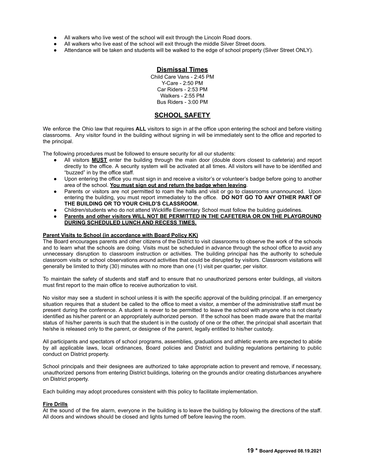- All walkers who live west of the school will exit through the Lincoln Road doors.
- All walkers who live east of the school will exit through the middle Silver Street doors.
- Attendance will be taken and students will be walked to the edge of school property (Silver Street ONLY).

#### **Dismissal Times**

Child Care Vans - 2:45 PM Y-Care - 2:50 PM Car Riders - 2:53 PM Walkers - 2:55 PM Bus Riders - 3:00 PM

# **SCHOOL SAFETY**

We enforce the Ohio law that requires **ALL** visitors to sign in *at* the office upon entering the school and before visiting classrooms. Any visitor found in the building without signing in will be immediately sent to the office and reported to the principal.

The following procedures must be followed to ensure security for all our students:

- All visitors **MUST** enter the building through the main door (double doors closest to cafeteria) and report directly to the office. A security system will be activated at all times. All visitors will have to be identified and "buzzed" in by the office staff.
- Upon entering the office you must sign in and receive a visitor's or volunteer's badge before going to another area of the school. **You must sign out and return the badge when leaving**.
- Parents or visitors are not permitted to roam the halls and visit or go to classrooms unannounced. Upon entering the building, you must report immediately to the office. **DO NOT GO TO ANY OTHER PART OF THE BUILDING OR TO YOUR CHILD'S CLASSROOM.**
- Children/students who do not attend Wickliffe Elementary School must follow the building guidelines.
- **Parents and other visitors WILL NOT BE PERMITTED IN THE CAFETERIA OR ON THE PLAYGROUND DURING SCHEDULED LUNCH AND RECESS TIMES.**

#### **Parent Visits to School (in accordance with Board Policy KK)**

The Board encourages parents and other citizens of the District to visit classrooms to observe the work of the schools and to learn what the schools are doing. Visits must be scheduled in advance through the school office to avoid any unnecessary disruption to classroom instruction or activities. The building principal has the authority to schedule classroom visits or school observations around activities that could be disrupted by visitors. Classroom visitations will generally be limited to thirty (30) minutes with no more than one (1) visit per quarter, per visitor.

To maintain the safety of students and staff and to ensure that no unauthorized persons enter buildings, all visitors must first report to the main office to receive authorization to visit.

No visitor may see a student in school unless it is with the specific approval of the building principal. If an emergency situation requires that a student be called to the office to meet a visitor, a member of the administrative staff must be present during the conference. A student is never to be permitted to leave the school with anyone who is not clearly identified as his/her parent or an appropriately authorized person. If the school has been made aware that the marital status of his/her parents is such that the student is in the custody of one or the other, the principal shall ascertain that he/she is released only to the parent, or designee of the parent, legally entitled to his/her custody.

All participants and spectators of school programs, assemblies, graduations and athletic events are expected to abide by all applicable laws, local ordinances, Board policies and District and building regulations pertaining to public conduct on District property.

School principals and their designees are authorized to take appropriate action to prevent and remove, if necessary, unauthorized persons from entering District buildings, loitering on the grounds and/or creating disturbances anywhere on District property.

Each building may adopt procedures consistent with this policy to facilitate implementation.

#### **Fire Drills**

At the sound of the fire alarm, everyone in the building is to leave the building by following the directions of the staff. All doors and windows should be closed and lights turned off before leaving the room.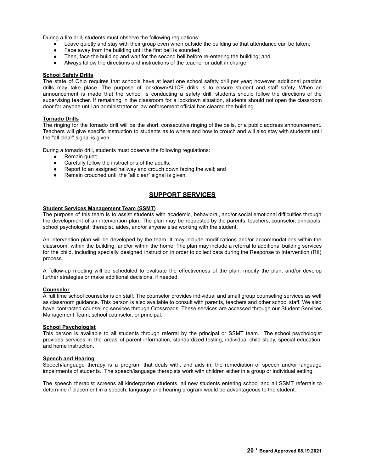During a fire drill, students must observe the following regulations:

- Leave quietly and stay with their group even when outside the building so that attendance can be taken;
- Face away from the building until the first bell is sounded;<br>● Then, face the building and wait for the second bell before
- Then, face the building and wait for the second bell before re-entering the building; and
- Always follow the directions and instructions of the teacher or adult in charge.

#### **School Safety Drills**

The state of Ohio requires that schools have at least one school safety drill per year; however, additional practice drills may take place. The purpose of lockdown/ALICE drills is to ensure student and staff safety. When an announcement is made that the school is conducting a safety drill, students should follow the directions of the supervising teacher. If remaining in the classroom for a lockdown situation, students should not open the classroom door for anyone until an administrator or law enforcement official has cleared the building.

#### **Tornado Drills**

The ringing for the tornado drill will be the short, consecutive ringing of the bells, or a public address announcement. Teachers will give specific instruction to students as to where and how to crouch and will also stay with students until the "all clear" signal is given.

During a tornado drill, students must observe the following regulations:

- $\bullet$  Remain quiet;
- Carefully follow the instructions of the adults;
- Report to an assigned hallway and crouch down facing the wall; and
- Remain crouched until the "all clear" signal is given.

# **SUPPORT SERVICES**

#### **Student Services Management Team (SSMT)**

The purpose of this team is to assist students with academic, behavioral, and/or social emotional difficulties through the development of an intervention plan. The plan may be requested by the parents, teachers, counselor, principals, school psychologist, therapist, aides, and/or anyone else working with the student.

An intervention plan will be developed by the team. It may include modifications and/or accommodations within the classroom, within the building, and/or within the home. The plan may include a referral to additional building services for the child, including specially designed instruction in order to collect data during the Response to Intervention (RtI) process.

A follow-up meeting will be scheduled to evaluate the effectiveness of the plan, modify the plan, and/or develop further strategies or make additional decisions, if needed.

#### **Counselor**

A full time school counselor is on staff. The counselor provides individual and small group counseling services as well as classroom guidance. This person is also available to consult with parents, teachers and other school staff. We also have contracted counseling services through Crossroads. These services are accessed through our Student Services Management Team, school counselor, or principal**.**

#### **School Psychologist**

This person is available to all students through referral by the principal or SSMT team. The school psychologist provides services in the areas of parent information, standardized testing, individual child study, special education, and home instruction.

#### **Speech and Hearing**

Speech/language therapy is a program that deals with, and aids in, the remediation of speech and/or language impairments of students. The speech/language therapists work with children either in a group or individual setting.

The speech therapist screens all kindergarten students, all new students entering school and all SSMT referrals to determine if placement in a speech, language and hearing program would be advantageous to the student.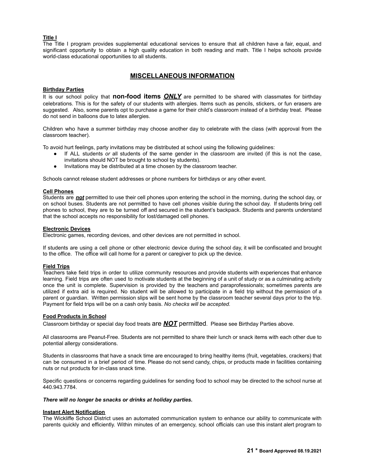#### **Title I**

The Title I program provides supplemental educational services to ensure that all children have a fair, equal, and significant opportunity to obtain a high quality education in both reading and math. Title I helps schools provide world-class educational opportunities to all students.

## **MISCELLANEOUS INFORMATION**

#### **Birthday Parties**

It is our school policy that **non-food items** *ONLY* are permitted to be shared with classmates for birthday celebrations. This is for the safety of our students with allergies. Items such as pencils, stickers, or fun erasers are suggested. Also, some parents opt to purchase a game for their child's classroom instead of a birthday treat. Please do not send in balloons due to latex allergies.

Children who have a summer birthday may choose another day to celebrate with the class (with approval from the classroom teacher).

To avoid hurt feelings, party invitations may be distributed at school using the following guidelines:

- If ALL students *or* all students of the same gender in the classroom are invited (if this is not the case, invitations should NOT be brought to school by students).
- Invitations may be distributed at a time chosen by the classroom teacher.

Schools cannot release student addresses or phone numbers for birthdays or any other event.

#### **Cell Phones**

Students are *not* permitted to use their cell phones upon entering the school in the morning, during the school day, or on school buses. Students are not permitted to have cell phones visible during the school day. If students bring cell phones to school, they are to be turned off and secured in the student's backpack. Students and parents understand that the school accepts no responsibility for lost/damaged cell phones.

#### **Electronic Devices**

Electronic games, recording devices, and other devices are not permitted in school.

If students are using a cell phone or other electronic device during the school day, it will be confiscated and brought to the office. The office will call home for a parent or caregiver to pick up the device.

#### **Field Trips**

Teachers take field trips in order to utilize community resources and provide students with experiences that enhance learning. Field trips are often used to motivate students at the beginning of a unit of study or as a culminating activity once the unit is complete. Supervision is provided by the teachers and paraprofessionals; sometimes parents are utilized if extra aid is required. No student will be allowed to participate in a field trip without the permission of a parent or guardian. Written permission slips will be sent home by the classroom teacher several days prior to the trip. Payment for field trips will be on a cash only basis. *No checks will be accepted.*

#### **Food Products in School**

Classroom birthday or special day food treats are *NOT* permitted. Please see Birthday Parties above.

All classrooms are Peanut-Free. Students are not permitted to share their lunch or snack items with each other due to potential allergy considerations.

Students in classrooms that have a snack time are encouraged to bring healthy items (fruit, vegetables, crackers) that can be consumed in a brief period of time. Please do not send candy, chips, or products made in facilities containing nuts or nut products for in-class snack time.

Specific questions or concerns regarding guidelines for sending food to school may be directed to the school nurse at 440.943.7784.

#### *There will no longer be snacks or drinks at holiday parties.*

#### **Instant Alert Notification**

The Wickliffe School District uses an automated communication system to enhance our ability to communicate with parents quickly and efficiently. Within minutes of an emergency, school officials can use this instant alert program to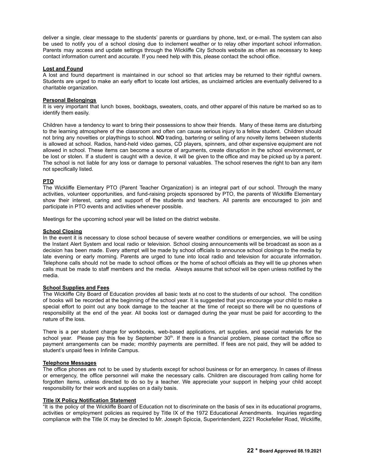deliver a single, clear message to the students' parents or guardians by phone, text, or e-mail. The system can also be used to notify you of a school closing due to inclement weather or to relay other important school information. Parents may access and update settings through the Wickliffe City Schools website as often as necessary to keep contact information current and accurate. If you need help with this, please contact the school office.

#### **Lost and Found**

A lost and found department is maintained in our school so that articles may be returned to their rightful owners. Students are urged to make an early effort to locate lost articles, as unclaimed articles are eventually delivered to a charitable organization.

#### **Personal Belongings**

It is very important that lunch boxes, bookbags, sweaters, coats, and other apparel of this nature be marked so as to identify them easily.

Children have a tendency to want to bring their possessions to show their friends. Many of these items are disturbing to the learning atmosphere of the classroom and often can cause serious injury to a fellow student. Children should not bring any novelties or playthings to school. **NO** trading, bartering or selling of any novelty items between students is allowed at school. Radios, hand-held video games, CD players, spinners, and other expensive equipment are not allowed in school. These items can become a source of arguments, create disruption in the school environment, or be lost or stolen. If a student is caught with a device, it will be given to the office and may be picked up by a parent. The school is not liable for any loss or damage to personal valuables. The school reserves the right to ban any item not specifically listed.

#### **PTO**

The Wickliffe Elementary PTO (Parent Teacher Organization) is an integral part of our school. Through the many activities, volunteer opportunities, and fund-raising projects sponsored by PTO, the parents of Wickliffe Elementary show their interest, caring and support of the students and teachers. All parents are encouraged to join and participate in PTO events and activities whenever possible.

Meetings for the upcoming school year will be listed on the district website.

#### **School Closing**

In the event it is necessary to close school because of severe weather conditions or emergencies, we will be using the Instant Alert System and local radio or television. School closing announcements will be broadcast as soon as a decision has been made. Every attempt will be made by school officials to announce school closings to the media by late evening or early morning. Parents are urged to tune into local radio and television for accurate information. Telephone calls should not be made to school offices or the home of school officials as they will tie up phones when calls must be made to staff members and the media. Always assume that school will be open unless notified by the media.

#### **School Supplies and Fees**

The Wickliffe City Board of Education provides all basic texts at no cost to the students of our school. The condition of books will be recorded at the beginning of the school year. It is suggested that you encourage your child to make a special effort to point out any book damage to the teacher at the time of receipt so there will be no questions of responsibility at the end of the year. All books lost or damaged during the year must be paid for according to the nature of the loss.

There is a per student charge for workbooks, web-based applications, art supplies, and special materials for the school year. Please pay this fee by September 30<sup>th</sup>. If there is a financial problem, please contact the office so payment arrangements can be made; monthly payments are permitted. If fees are not paid, they will be added to student's unpaid fees in Infinite Campus.

#### **Telephone Messages**

The office phones are not to be used by students except for school business or for an emergency. In cases of illness or emergency, the office personnel will make the necessary calls. Children are discouraged from calling home for forgotten items, unless directed to do so by a teacher. We appreciate your support in helping your child accept responsibility for their work and supplies on a daily basis.

#### **Title IX Policy Notification Statement**

"It is the policy of the Wickliffe Board of Education not to discriminate on the basis of sex in its educational programs, activities or employment policies as required by Title IX of the 1972 Educational Amendments. Inquiries regarding compliance with the Title IX may be directed to Mr. Joseph Spiccia, Superintendent, 2221 Rockefeller Road, Wickliffe,